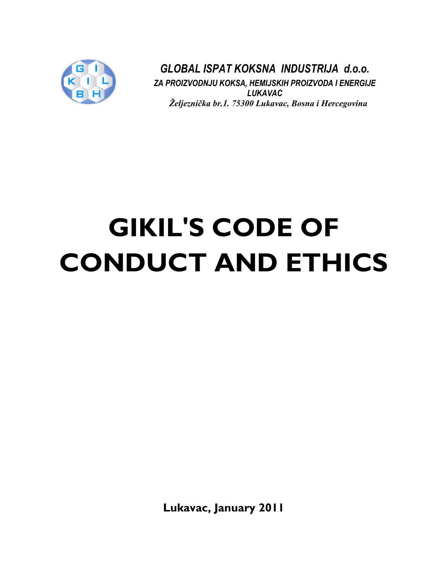

*GLOBAL ISPAT KOKSNA INDUSTRIJA d.o.o. ZA PROIZVODNJU KOKSA, HEMIJSKIH PROIZVODA I ENERGIJE LUKAVAC Željeznička br.1. 75300 Lukavac, Bosna i Hercegovina*

# **GIKIL'S CODE OF CONDUCT AND ETHICS**

**Lukavac, January 2011**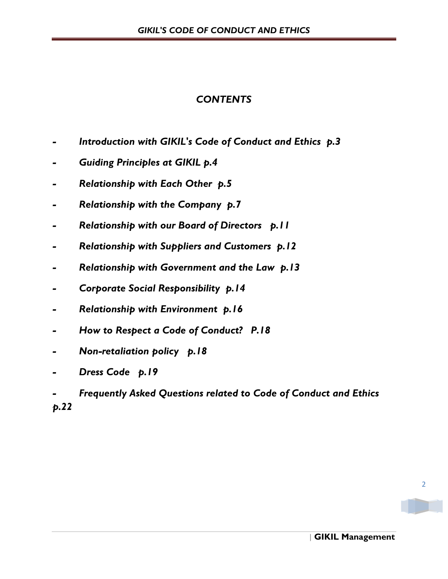# *CONTENTS*

- *- Introduction with GIKIL's Code of Conduct and Ethics p.3*
- *Guiding Principles at GIKIL p.4*
- *- Relationship with Each Other p.5*
- *- Relationship with the Company p.7*
- *- Relationship with our Board of Directors p.11*
- *- Relationship with Suppliers and Customers p.12*
- *- Relationship with Government and the Law p.13*
- *- Corporate Social Responsibility p.14*
- *- Relationship with Environment p.16*
- *- How to Respect a Code of Conduct? P.18*
- *- Non-retaliation policy p.18*
- *- Dress Code p.19*
- *- Frequently Asked Questions related to Code of Conduct and Ethics p.22*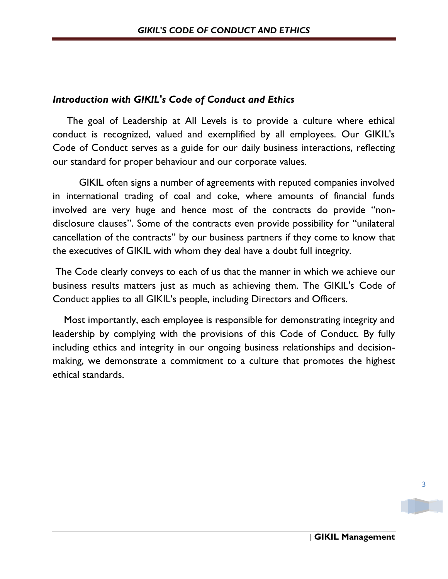# *Introduction with GIKIL's Code of Conduct and Ethics*

 The goal of Leadership at All Levels is to provide a culture where ethical conduct is recognized, valued and exemplified by all employees. Our GIKIL's Code of Conduct serves as a guide for our daily business interactions, reflecting our standard for proper behaviour and our corporate values.

GIKIL often signs a number of agreements with reputed companies involved in international trading of coal and coke, where amounts of financial funds involved are very huge and hence most of the contracts do provide "nondisclosure clauses". Some of the contracts even provide possibility for "unilateral cancellation of the contracts" by our business partners if they come to know that the executives of GIKIL with whom they deal have a doubt full integrity.

The Code clearly conveys to each of us that the manner in which we achieve our business results matters just as much as achieving them. The GIKIL's Code of Conduct applies to all GIKIL's people, including Directors and Officers.

 Most importantly, each employee is responsible for demonstrating integrity and leadership by complying with the provisions of this Code of Conduct. By fully including ethics and integrity in our ongoing business relationships and decisionmaking, we demonstrate a commitment to a culture that promotes the highest ethical standards.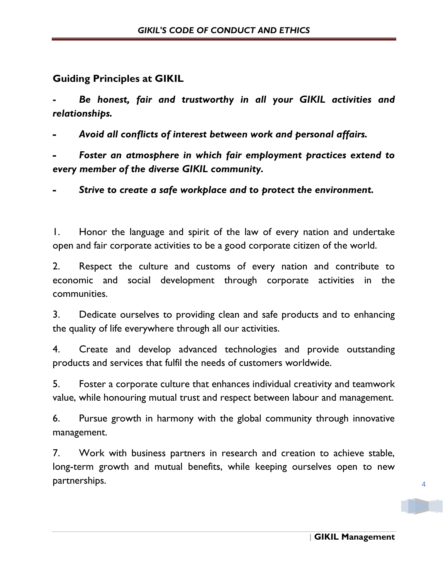# **Guiding Principles at GIKIL**

**-** *Be honest, fair and trustworthy in all your GIKIL activities and relationships.*

*- Avoid all conflicts of interest between work and personal affairs.*

*- Foster an atmosphere in which fair employment practices extend to every member of the diverse GIKIL community.*

*- Strive to create a safe workplace and to protect the environment.*

1. Honor the language and spirit of the law of every nation and undertake open and fair corporate activities to be a good corporate citizen of the world.

2. Respect the culture and customs of every nation and contribute to economic and social development through corporate activities in the communities.

3. Dedicate ourselves to providing clean and safe products and to enhancing the quality of life everywhere through all our activities.

4. Create and develop advanced technologies and provide outstanding products and services that fulfil the needs of customers worldwide.

5. Foster a corporate culture that enhances individual creativity and teamwork value, while honouring mutual trust and respect between labour and management.

6. Pursue growth in harmony with the global community through innovative management.

7. Work with business partners in research and creation to achieve stable, long-term growth and mutual benefits, while keeping ourselves open to new partnerships.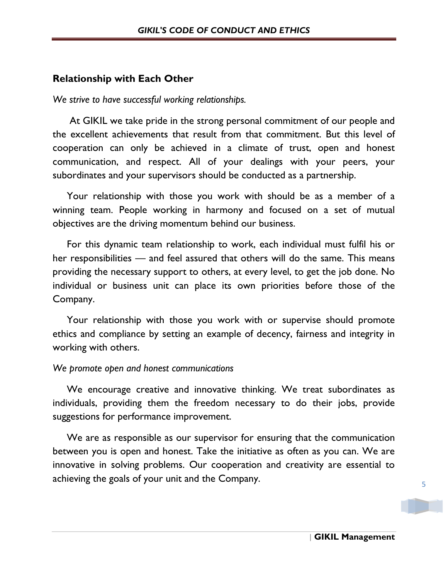## **Relationship with Each Other**

*We strive to have successful working relationships.* 

 At GIKIL we take pride in the strong personal commitment of our people and the excellent achievements that result from that commitment. But this level of cooperation can only be achieved in a climate of trust, open and honest communication, and respect. All of your dealings with your peers, your subordinates and your supervisors should be conducted as a partnership.

 Your relationship with those you work with should be as a member of a winning team. People working in harmony and focused on a set of mutual objectives are the driving momentum behind our business.

 For this dynamic team relationship to work, each individual must fulfil his or her responsibilities — and feel assured that others will do the same. This means providing the necessary support to others, at every level, to get the job done. No individual or business unit can place its own priorities before those of the Company.

 Your relationship with those you work with or supervise should promote ethics and compliance by setting an example of decency, fairness and integrity in working with others.

#### *We promote open and honest communications*

 We encourage creative and innovative thinking. We treat subordinates as individuals, providing them the freedom necessary to do their jobs, provide suggestions for performance improvement.

 We are as responsible as our supervisor for ensuring that the communication between you is open and honest. Take the initiative as often as you can. We are innovative in solving problems. Our cooperation and creativity are essential to achieving the goals of your unit and the Company.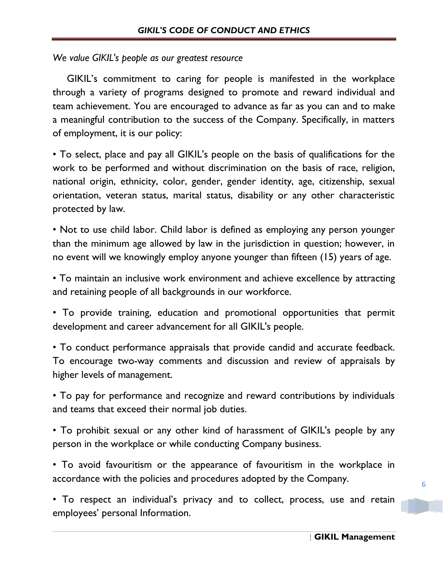#### *We value GIKIL's people as our greatest resource*

 GIKIL's commitment to caring for people is manifested in the workplace through a variety of programs designed to promote and reward individual and team achievement. You are encouraged to advance as far as you can and to make a meaningful contribution to the success of the Company. Specifically, in matters of employment, it is our policy:

• To select, place and pay all GIKIL's people on the basis of qualifications for the work to be performed and without discrimination on the basis of race, religion, national origin, ethnicity, color, gender, gender identity, age, citizenship, sexual orientation, veteran status, marital status, disability or any other characteristic protected by law.

• Not to use child labor. Child labor is defined as employing any person younger than the minimum age allowed by law in the jurisdiction in question; however, in no event will we knowingly employ anyone younger than fifteen (15) years of age.

• To maintain an inclusive work environment and achieve excellence by attracting and retaining people of all backgrounds in our workforce.

• To provide training, education and promotional opportunities that permit development and career advancement for all GIKIL's people.

• To conduct performance appraisals that provide candid and accurate feedback. To encourage two-way comments and discussion and review of appraisals by higher levels of management.

• To pay for performance and recognize and reward contributions by individuals and teams that exceed their normal job duties.

• To prohibit sexual or any other kind of harassment of GIKIL's people by any person in the workplace or while conducting Company business.

• To avoid favouritism or the appearance of favouritism in the workplace in accordance with the policies and procedures adopted by the Company.

• To respect an individual's privacy and to collect, process, use and retain employees' personal Information.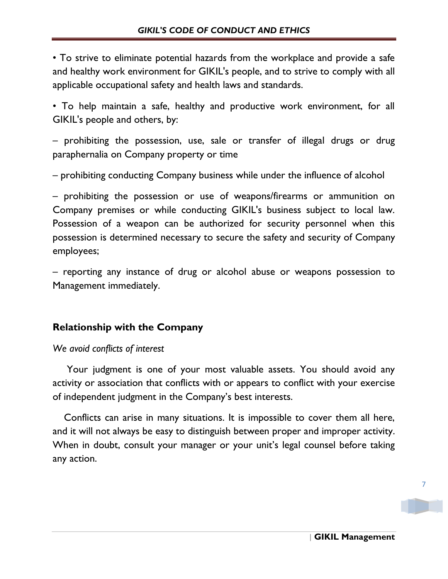• To strive to eliminate potential hazards from the workplace and provide a safe and healthy work environment for GIKIL's people, and to strive to comply with all applicable occupational safety and health laws and standards.

• To help maintain a safe, healthy and productive work environment, for all GIKIL's people and others, by:

– prohibiting the possession, use, sale or transfer of illegal drugs or drug paraphernalia on Company property or time

– prohibiting conducting Company business while under the influence of alcohol

– prohibiting the possession or use of weapons/firearms or ammunition on Company premises or while conducting GIKIL's business subject to local law. Possession of a weapon can be authorized for security personnel when this possession is determined necessary to secure the safety and security of Company employees;

– reporting any instance of drug or alcohol abuse or weapons possession to Management immediately.

# **Relationship with the Company**

## *We avoid conflicts of interest*

 Your judgment is one of your most valuable assets. You should avoid any activity or association that conflicts with or appears to conflict with your exercise of independent judgment in the Company's best interests.

 Conflicts can arise in many situations. It is impossible to cover them all here, and it will not always be easy to distinguish between proper and improper activity. When in doubt, consult your manager or your unit's legal counsel before taking any action.

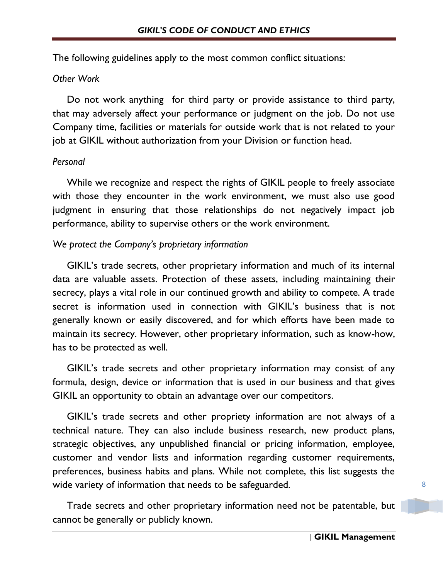The following guidelines apply to the most common conflict situations:

### *Other Work*

 Do not work anything for third party or provide assistance to third party, that may adversely affect your performance or judgment on the job. Do not use Company time, facilities or materials for outside work that is not related to your job at GIKIL without authorization from your Division or function head.

## *Personal*

 While we recognize and respect the rights of GIKIL people to freely associate with those they encounter in the work environment, we must also use good judgment in ensuring that those relationships do not negatively impact job performance, ability to supervise others or the work environment.

## *We protect the Company's proprietary information*

 GIKIL's trade secrets, other proprietary information and much of its internal data are valuable assets. Protection of these assets, including maintaining their secrecy, plays a vital role in our continued growth and ability to compete. A trade secret is information used in connection with GIKIL's business that is not generally known or easily discovered, and for which efforts have been made to maintain its secrecy. However, other proprietary information, such as know-how, has to be protected as well.

 GIKIL's trade secrets and other proprietary information may consist of any formula, design, device or information that is used in our business and that gives GIKIL an opportunity to obtain an advantage over our competitors.

 GIKIL's trade secrets and other propriety information are not always of a technical nature. They can also include business research, new product plans, strategic objectives, any unpublished financial or pricing information, employee, customer and vendor lists and information regarding customer requirements, preferences, business habits and plans. While not complete, this list suggests the wide variety of information that needs to be safeguarded.

 Trade secrets and other proprietary information need not be patentable, but cannot be generally or publicly known.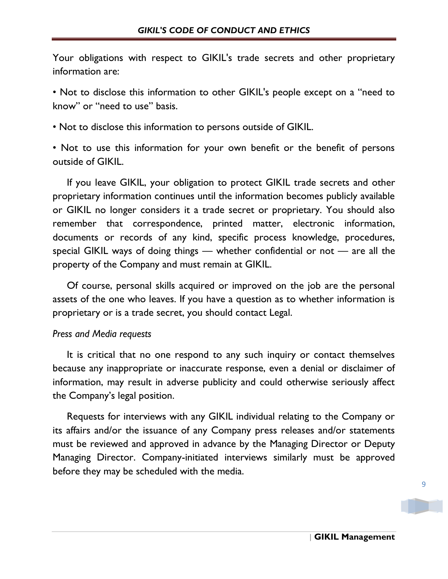Your obligations with respect to GIKIL's trade secrets and other proprietary information are:

• Not to disclose this information to other GIKIL's people except on a "need to know" or "need to use" basis.

• Not to disclose this information to persons outside of GIKIL.

• Not to use this information for your own benefit or the benefit of persons outside of GIKIL.

 If you leave GIKIL, your obligation to protect GIKIL trade secrets and other proprietary information continues until the information becomes publicly available or GIKIL no longer considers it a trade secret or proprietary. You should also remember that correspondence, printed matter, electronic information, documents or records of any kind, specific process knowledge, procedures, special GIKIL ways of doing things — whether confidential or not — are all the property of the Company and must remain at GIKIL.

 Of course, personal skills acquired or improved on the job are the personal assets of the one who leaves. If you have a question as to whether information is proprietary or is a trade secret, you should contact Legal.

#### *Press and Media requests*

 It is critical that no one respond to any such inquiry or contact themselves because any inappropriate or inaccurate response, even a denial or disclaimer of information, may result in adverse publicity and could otherwise seriously affect the Company's legal position.

 Requests for interviews with any GIKIL individual relating to the Company or its affairs and/or the issuance of any Company press releases and/or statements must be reviewed and approved in advance by the Managing Director or Deputy Managing Director. Company-initiated interviews similarly must be approved before they may be scheduled with the media.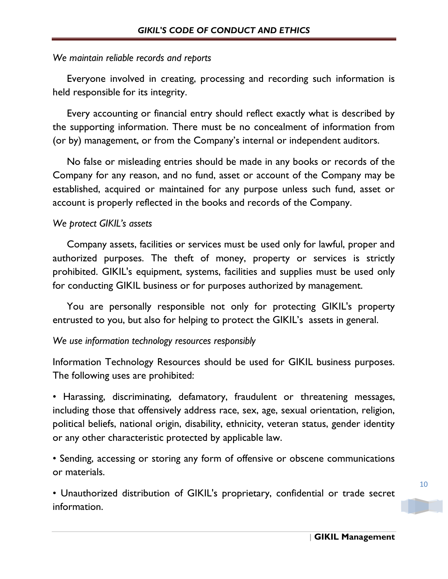### *We maintain reliable records and reports*

 Everyone involved in creating, processing and recording such information is held responsible for its integrity.

 Every accounting or financial entry should reflect exactly what is described by the supporting information. There must be no concealment of information from (or by) management, or from the Company's internal or independent auditors.

 No false or misleading entries should be made in any books or records of the Company for any reason, and no fund, asset or account of the Company may be established, acquired or maintained for any purpose unless such fund, asset or account is properly reflected in the books and records of the Company.

## *We protect GIKIL's assets*

 Company assets, facilities or services must be used only for lawful, proper and authorized purposes. The theft of money, property or services is strictly prohibited. GIKIL's equipment, systems, facilities and supplies must be used only for conducting GIKIL business or for purposes authorized by management.

 You are personally responsible not only for protecting GIKIL's property entrusted to you, but also for helping to protect the GIKIL's assets in general.

#### *We use information technology resources responsibly*

Information Technology Resources should be used for GIKIL business purposes. The following uses are prohibited:

• Harassing, discriminating, defamatory, fraudulent or threatening messages, including those that offensively address race, sex, age, sexual orientation, religion, political beliefs, national origin, disability, ethnicity, veteran status, gender identity or any other characteristic protected by applicable law.

• Sending, accessing or storing any form of offensive or obscene communications or materials.

• Unauthorized distribution of GIKIL's proprietary, confidential or trade secret information.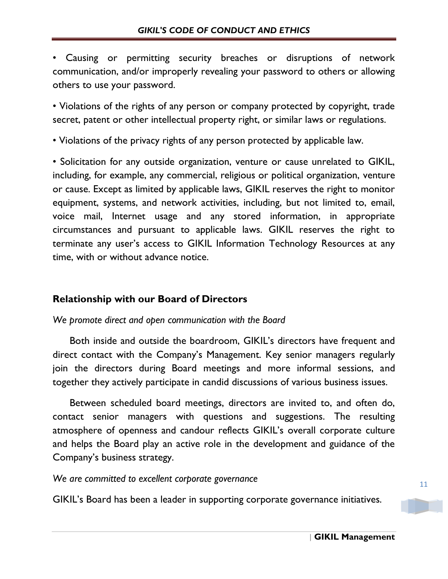• Causing or permitting security breaches or disruptions of network communication, and/or improperly revealing your password to others or allowing others to use your password.

• Violations of the rights of any person or company protected by copyright, trade secret, patent or other intellectual property right, or similar laws or regulations.

• Violations of the privacy rights of any person protected by applicable law.

• Solicitation for any outside organization, venture or cause unrelated to GIKIL, including, for example, any commercial, religious or political organization, venture or cause. Except as limited by applicable laws, GIKIL reserves the right to monitor equipment, systems, and network activities, including, but not limited to, email, voice mail, Internet usage and any stored information, in appropriate circumstances and pursuant to applicable laws. GIKIL reserves the right to terminate any user's access to GIKIL Information Technology Resources at any time, with or without advance notice.

# **Relationship with our Board of Directors**

#### *We promote direct and open communication with the Board*

 Both inside and outside the boardroom, GIKIL's directors have frequent and direct contact with the Company's Management. Key senior managers regularly join the directors during Board meetings and more informal sessions, and together they actively participate in candid discussions of various business issues.

 Between scheduled board meetings, directors are invited to, and often do, contact senior managers with questions and suggestions. The resulting atmosphere of openness and candour reflects GIKIL's overall corporate culture and helps the Board play an active role in the development and guidance of the Company's business strategy.

*We are committed to excellent corporate governance*

GIKIL's Board has been a leader in supporting corporate governance initiatives.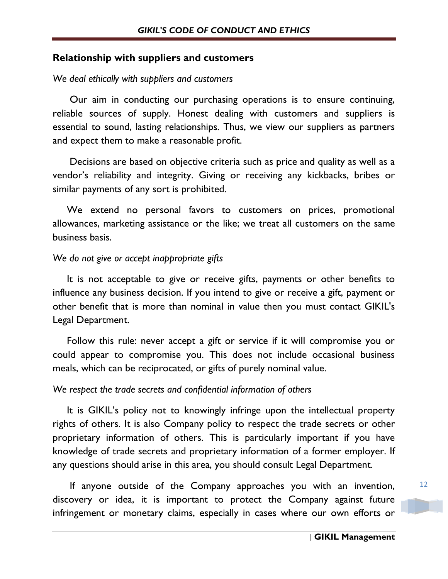## **Relationship with suppliers and customers**

#### *We deal ethically with suppliers and customers*

 Our aim in conducting our purchasing operations is to ensure continuing, reliable sources of supply. Honest dealing with customers and suppliers is essential to sound, lasting relationships. Thus, we view our suppliers as partners and expect them to make a reasonable profit.

 Decisions are based on objective criteria such as price and quality as well as a vendor's reliability and integrity. Giving or receiving any kickbacks, bribes or similar payments of any sort is prohibited.

 We extend no personal favors to customers on prices, promotional allowances, marketing assistance or the like; we treat all customers on the same business basis.

#### *We do not give or accept inappropriate gifts*

 It is not acceptable to give or receive gifts, payments or other benefits to influence any business decision. If you intend to give or receive a gift, payment or other benefit that is more than nominal in value then you must contact GIKIL's Legal Department.

 Follow this rule: never accept a gift or service if it will compromise you or could appear to compromise you. This does not include occasional business meals, which can be reciprocated, or gifts of purely nominal value.

#### *We respect the trade secrets and confidential information of others*

 It is GIKIL's policy not to knowingly infringe upon the intellectual property rights of others. It is also Company policy to respect the trade secrets or other proprietary information of others. This is particularly important if you have knowledge of trade secrets and proprietary information of a former employer. If any questions should arise in this area, you should consult Legal Department.

 If anyone outside of the Company approaches you with an invention, discovery or idea, it is important to protect the Company against future infringement or monetary claims, especially in cases where our own efforts or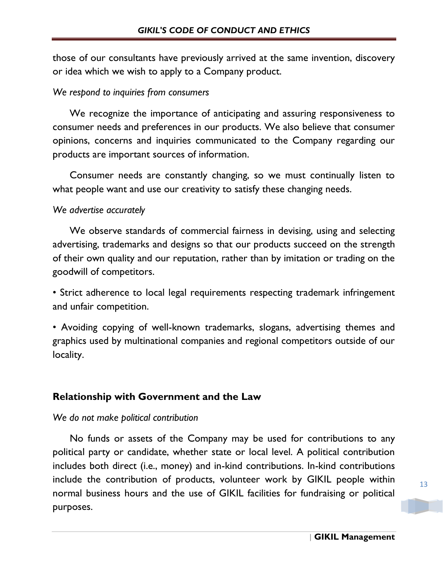those of our consultants have previously arrived at the same invention, discovery or idea which we wish to apply to a Company product.

## *We respond to inquiries from consumers*

 We recognize the importance of anticipating and assuring responsiveness to consumer needs and preferences in our products. We also believe that consumer opinions, concerns and inquiries communicated to the Company regarding our products are important sources of information.

 Consumer needs are constantly changing, so we must continually listen to what people want and use our creativity to satisfy these changing needs.

## *We advertise accurately*

 We observe standards of commercial fairness in devising, using and selecting advertising, trademarks and designs so that our products succeed on the strength of their own quality and our reputation, rather than by imitation or trading on the goodwill of competitors.

• Strict adherence to local legal requirements respecting trademark infringement and unfair competition.

• Avoiding copying of well-known trademarks, slogans, advertising themes and graphics used by multinational companies and regional competitors outside of our locality.

## **Relationship with Government and the Law**

## *We do not make political contribution*

 No funds or assets of the Company may be used for contributions to any political party or candidate, whether state or local level. A political contribution includes both direct (i.e., money) and in-kind contributions. In-kind contributions include the contribution of products, volunteer work by GIKIL people within normal business hours and the use of GIKIL facilities for fundraising or political purposes.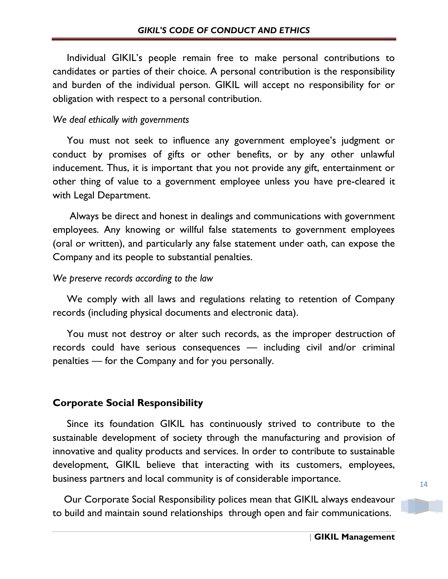Individual GIKIL's people remain free to make personal contributions to candidates or parties of their choice. A personal contribution is the responsibility and burden of the individual person. GIKIL will accept no responsibility for or obligation with respect to a personal contribution.

#### *We deal ethically with governments*

 You must not seek to influence any government employee's judgment or conduct by promises of gifts or other benefits, or by any other unlawful inducement. Thus, it is important that you not provide any gift, entertainment or other thing of value to a government employee unless you have pre-cleared it with Legal Department.

 Always be direct and honest in dealings and communications with government employees. Any knowing or willful false statements to government employees (oral or written), and particularly any false statement under oath, can expose the Company and its people to substantial penalties.

## *We preserve records according to the law*

 We comply with all laws and regulations relating to retention of Company records (including physical documents and electronic data).

 You must not destroy or alter such records, as the improper destruction of records could have serious consequences — including civil and/or criminal penalties — for the Company and for you personally.

## **Corporate Social Responsibility**

 Since its foundation GIKIL has continuously strived to contribute to the sustainable development of society through the manufacturing and provision of innovative and quality products and services. In order to contribute to sustainable development, GIKIL believe that interacting with its customers, employees, business partners and local community is of considerable importance.

 Our Corporate Social Responsibility polices mean that GIKIL always endeavour to build and maintain sound relationships through open and fair communications.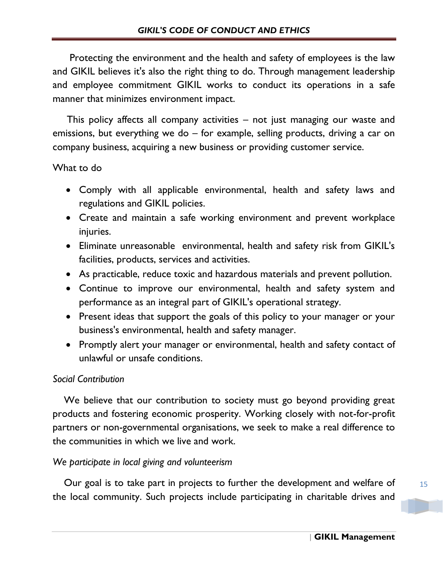Protecting the environment and the health and safety of employees is the law and GIKIL believes it's also the right thing to do. Through management leadership and employee commitment GIKIL works to conduct its operations in a safe manner that minimizes environment impact.

 This policy affects all company activities – not just managing our waste and emissions, but everything we do – for example, selling products, driving a car on company business, acquiring a new business or providing customer service.

# What to do

- Comply with all applicable environmental, health and safety laws and regulations and GIKIL policies.
- Create and maintain a safe working environment and prevent workplace injuries.
- Eliminate unreasonable environmental, health and safety risk from GIKIL's facilities, products, services and activities.
- As practicable, reduce toxic and hazardous materials and prevent pollution.
- Continue to improve our environmental, health and safety system and performance as an integral part of GIKIL's operational strategy.
- Present ideas that support the goals of this policy to your manager or your business's environmental, health and safety manager.
- Promptly alert your manager or environmental, health and safety contact of unlawful or unsafe conditions.

# *Social Contribution*

 We believe that our contribution to society must go beyond providing great products and fostering economic prosperity. Working closely with not-for-profit partners or non-governmental organisations, we seek to make a real difference to the communities in which we live and work.

## *We participate in local giving and volunteerism*

 Our goal is to take part in projects to further the development and welfare of the local community. Such projects include participating in charitable drives and

15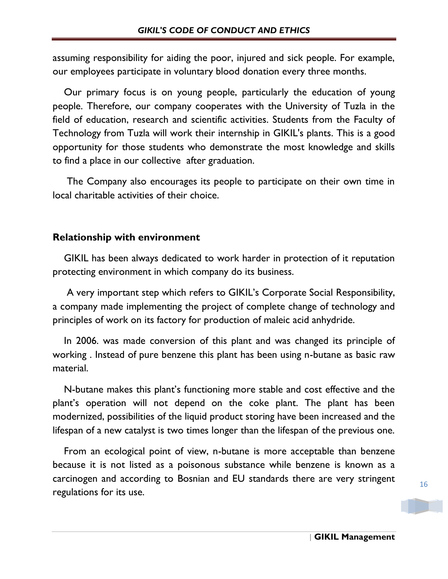assuming responsibility for aiding the poor, injured and sick people. For example, our employees participate in voluntary blood donation every three months.

 Our primary focus is on young people, particularly the education of young people. Therefore, our company cooperates with the University of Tuzla in the field of education, research and scientific activities. Students from the Faculty of Technology from Tuzla will work their internship in GIKIL's plants. This is a good opportunity for those students who demonstrate the most knowledge and skills to find a place in our collective after graduation.

 The Company also encourages its people to participate on their own time in local charitable activities of their choice.

# **Relationship with environment**

 GIKIL has been always dedicated to work harder in protection of it reputation protecting environment in which company do its business.

 A very important step which refers to GIKIL's Corporate Social Responsibility, a company made implementing the project of complete change of technology and principles of work on its factory for production of maleic acid anhydride.

 In 2006. was made conversion of this plant and was changed its principle of working . Instead of pure benzene this plant has been using n-butane as basic raw material.

 N-butane makes this plant's functioning more stable and cost effective and the plant's operation will not depend on the coke plant. The plant has been modernized, possibilities of the liquid product storing have been increased and the lifespan of a new catalyst is two times longer than the lifespan of the previous one.

 From an ecological point of view, n-butane is more acceptable than benzene because it is not listed as a poisonous substance while benzene is known as a carcinogen and according to Bosnian and EU standards there are very stringent regulations for its use.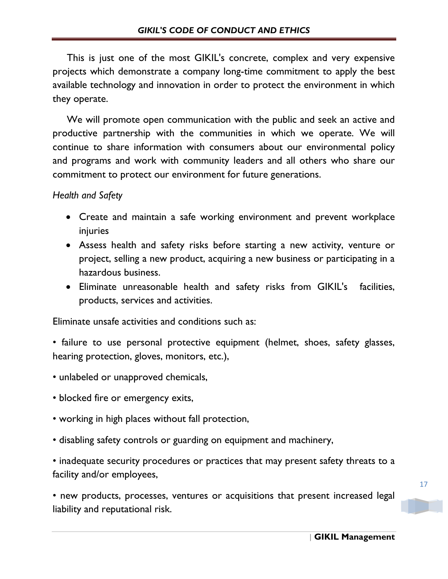This is just one of the most GIKIL's concrete, complex and very expensive projects which demonstrate a company long-time commitment to apply the best available technology and innovation in order to protect the environment in which they operate.

 We will promote open communication with the public and seek an active and productive partnership with the communities in which we operate. We will continue to share information with consumers about our environmental policy and programs and work with community leaders and all others who share our commitment to protect our environment for future generations.

*Health and Safety*

- Create and maintain a safe working environment and prevent workplace injuries
- Assess health and safety risks before starting a new activity, venture or project, selling a new product, acquiring a new business or participating in a hazardous business.
- Eliminate unreasonable health and safety risks from GIKIL's facilities, products, services and activities.

Eliminate unsafe activities and conditions such as:

- failure to use personal protective equipment (helmet, shoes, safety glasses, hearing protection, gloves, monitors, etc.),
- unlabeled or unapproved chemicals,
- blocked fire or emergency exits,
- working in high places without fall protection,
- disabling safety controls or guarding on equipment and machinery,

• inadequate security procedures or practices that may present safety threats to a facility and/or employees,

• new products, processes, ventures or acquisitions that present increased legal liability and reputational risk.

17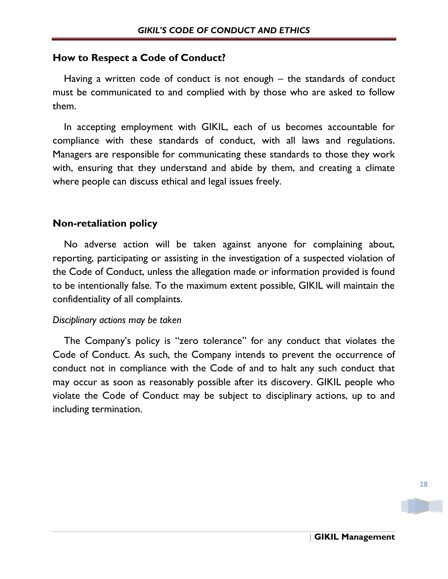# **How to Respect a Code of Conduct?**

 Having a written code of conduct is not enough – the standards of conduct must be communicated to and complied with by those who are asked to follow them.

 In accepting employment with GIKIL, each of us becomes accountable for compliance with these standards of conduct, with all laws and regulations. Managers are responsible for communicating these standards to those they work with, ensuring that they understand and abide by them, and creating a climate where people can discuss ethical and legal issues freely.

# **Non-retaliation policy**

 No adverse action will be taken against anyone for complaining about, reporting, participating or assisting in the investigation of a suspected violation of the Code of Conduct, unless the allegation made or information provided is found to be intentionally false. To the maximum extent possible, GIKIL will maintain the confidentiality of all complaints.

## *Disciplinary actions may be taken*

 The Company's policy is "zero tolerance" for any conduct that violates the Code of Conduct. As such, the Company intends to prevent the occurrence of conduct not in compliance with the Code of and to halt any such conduct that may occur as soon as reasonably possible after its discovery. GIKIL people who violate the Code of Conduct may be subject to disciplinary actions, up to and including termination.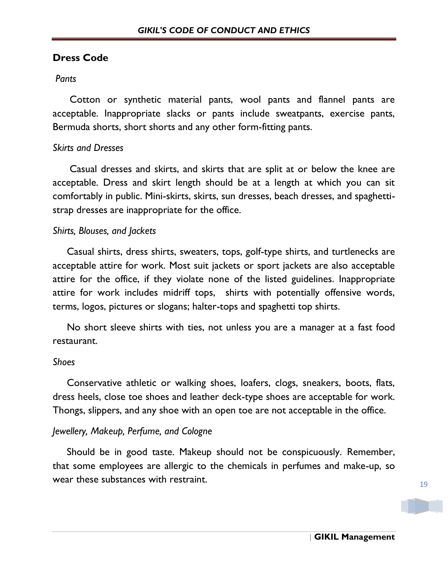## **Dress Code**

#### *Pants*

 Cotton or synthetic material pants, wool pants and flannel pants are acceptable. Inappropriate slacks or pants include sweatpants, exercise pants, Bermuda shorts, short shorts and any other form-fitting pants.

#### *Skirts and Dresses*

 Casual dresses and skirts, and skirts that are split at or below the knee are acceptable. Dress and skirt length should be at a length at which you can sit comfortably in public. Mini-skirts, skirts, sun dresses, beach dresses, and spaghettistrap dresses are inappropriate for the office.

#### *Shirts, Blouses, and Jackets*

 Casual shirts, dress shirts, sweaters, tops, golf-type shirts, and turtlenecks are acceptable attire for work. Most suit jackets or sport jackets are also acceptable attire for the office, if they violate none of the listed guidelines. Inappropriate attire for work includes midriff tops, shirts with potentially offensive words, terms, logos, pictures or slogans; halter-tops and spaghetti top shirts.

 No short sleeve shirts with ties, not unless you are a manager at a fast food restaurant.

#### *Shoes*

 Conservative athletic or walking shoes, loafers, clogs, sneakers, boots, flats, dress heels, close toe shoes and leather deck-type shoes are acceptable for work. Thongs, slippers, and any shoe with an open toe are not acceptable in the office.

#### *Jewellery, Makeup, Perfume, and Cologne*

 Should be in good taste. Makeup should not be conspicuously. Remember, that some employees are allergic to the chemicals in perfumes and make-up, so wear these substances with restraint.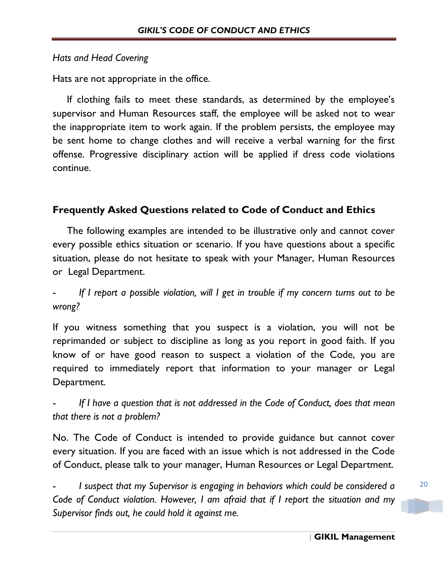## *Hats and Head Covering*

Hats are not appropriate in the office.

 If clothing fails to meet these standards, as determined by the employee's supervisor and Human Resources staff, the employee will be asked not to wear the inappropriate item to work again. If the problem persists, the employee may be sent home to change clothes and will receive a verbal warning for the first offense. Progressive disciplinary action will be applied if dress code violations continue.

# **Frequently Asked Questions related to Code of Conduct and Ethics**

 The following examples are intended to be illustrative only and cannot cover every possible ethics situation or scenario. If you have questions about a specific situation, please do not hesitate to speak with your Manager, Human Resources or Legal Department.

- *If I report a possible violation, will I get in trouble if my concern turns out to be wrong?*

If you witness something that you suspect is a violation, you will not be reprimanded or subject to discipline as long as you report in good faith. If you know of or have good reason to suspect a violation of the Code, you are required to immediately report that information to your manager or Legal Department.

- *If I have a question that is not addressed in the Code of Conduct, does that mean that there is not a problem?*

No. The Code of Conduct is intended to provide guidance but cannot cover every situation. If you are faced with an issue which is not addressed in the Code of Conduct, please talk to your manager, Human Resources or Legal Department.

I suspect that my Supervisor is engaging in behaviors which could be considered a *Code of Conduct violation. However, I am afraid that if I report the situation and my Supervisor finds out, he could hold it against me.*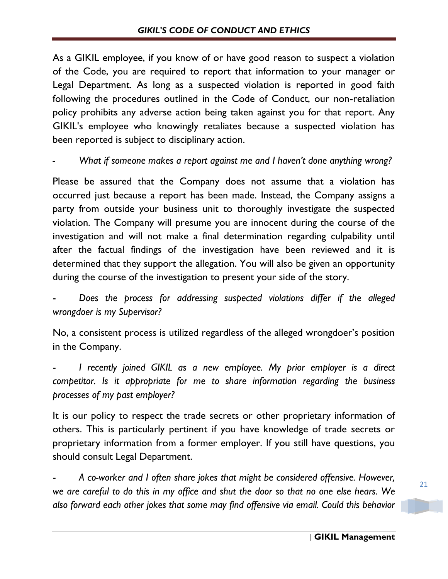As a GIKIL employee, if you know of or have good reason to suspect a violation of the Code, you are required to report that information to your manager or Legal Department. As long as a suspected violation is reported in good faith following the procedures outlined in the Code of Conduct, our non-retaliation policy prohibits any adverse action being taken against you for that report. Any GIKIL's employee who knowingly retaliates because a suspected violation has been reported is subject to disciplinary action.

*- What if someone makes a report against me and I haven't done anything wrong?*

Please be assured that the Company does not assume that a violation has occurred just because a report has been made. Instead, the Company assigns a party from outside your business unit to thoroughly investigate the suspected violation. The Company will presume you are innocent during the course of the investigation and will not make a final determination regarding culpability until after the factual findings of the investigation have been reviewed and it is determined that they support the allegation. You will also be given an opportunity during the course of the investigation to present your side of the story.

- *Does the process for addressing suspected violations differ if the alleged wrongdoer is my Supervisor?*

No, a consistent process is utilized regardless of the alleged wrongdoer's position in the Company.

I recently joined GIKIL as a new employee. My prior employer is a direct *competitor. Is it appropriate for me to share information regarding the business processes of my past employer?*

It is our policy to respect the trade secrets or other proprietary information of others. This is particularly pertinent if you have knowledge of trade secrets or proprietary information from a former employer. If you still have questions, you should consult Legal Department.

- *A co-worker and I often share jokes that might be considered offensive. However, we are careful to do this in my office and shut the door so that no one else hears. We also forward each other jokes that some may find offensive via email. Could this behavior*